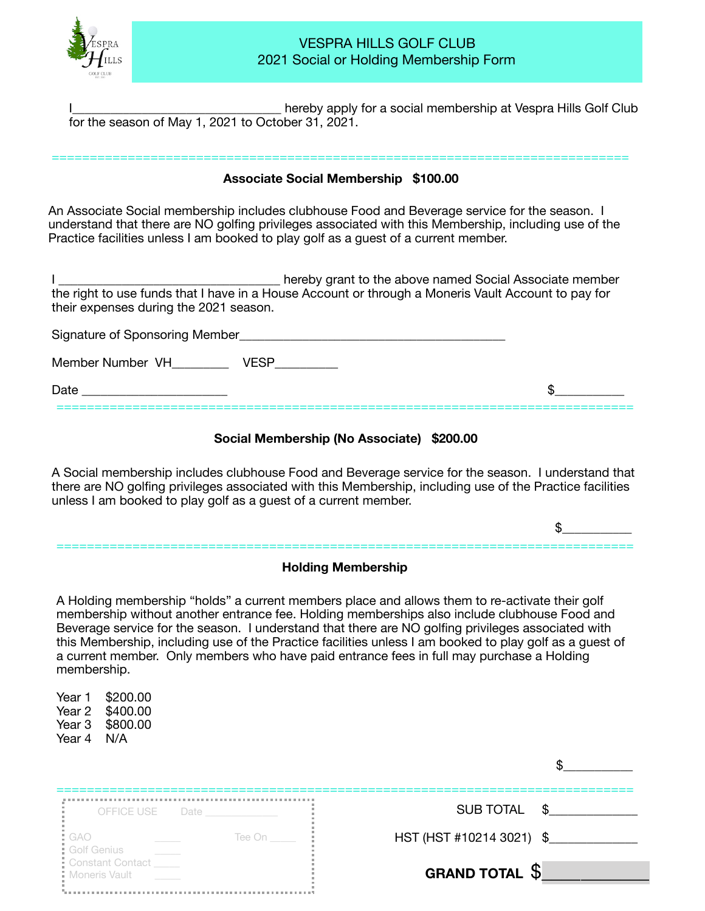

### VESPRA HILLS GOLF CLUB 2021 Social or Holding Membership Form

hereby apply for a social membership at Vespra Hills Golf Club for the season of May 1, 2021 to October 31, 2021.

# ============================================================================ **Associate Social Membership \$100.00**

An Associate Social membership includes clubhouse Food and Beverage service for the season. I understand that there are NO golfing privileges associated with this Membership, including use of the Practice facilities unless I am booked to play golf as a guest of a current member.

I \_\_\_\_\_\_\_\_\_\_\_\_\_\_\_\_\_\_\_\_\_\_\_\_\_\_\_\_\_\_\_\_\_\_\_ hereby grant to the above named Social Associate member the right to use funds that I have in a House Account or through a Moneris Vault Account to pay for their expenses during the 2021 season.

| Signature of Sponsoring Member |  |
|--------------------------------|--|
| Member Number VH<br>/FSF       |  |
| Date                           |  |

#### **Social Membership (No Associate) \$200.00**

A Social membership includes clubhouse Food and Beverage service for the season. I understand that  there are NO golfing privileges associated with this Membership, including use of the Practice facilities unless I am booked to play golf as a guest of a current member.

 $\mathfrak{s}$ 

# ============================================================================ **Holding Membership**

A Holding membership "holds" a current members place and allows them to re-activate their golf membership without another entrance fee. Holding memberships also include clubhouse Food and Beverage service for the season. I understand that there are NO golfing privileges associated with this Membership, including use of the Practice facilities unless I am booked to play golf as a guest of a current member. Only members who have paid entrance fees in full may purchase a Holding membership.

Year 1 \$200.00 Year 2 \$400.00 Year 3 \$800.00 Year 4 N/A

| OFFICE USE Date                                        | SUB TOTAL \$             |
|--------------------------------------------------------|--------------------------|
| : GAO<br>: Golf Genius<br>: Constant Contact<br>Tee On | HST (HST #10214 3021) \$ |
| Moneris Vault                                          | <b>GRAND TOTAL S</b>     |